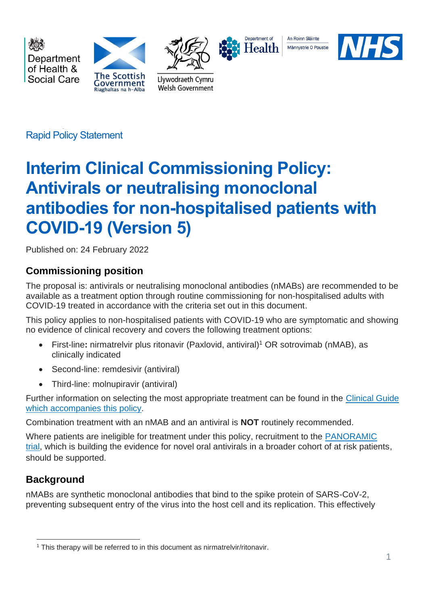

Rapid Policy Statement

# **Interim Clinical Commissioning Policy: Antivirals or neutralising monoclonal antibodies for non-hospitalised patients with COVID-19 (Version 5)**

Published on: 24 February 2022

# **Commissioning position**

The proposal is: antivirals or neutralising monoclonal antibodies (nMABs) are recommended to be available as a treatment option through routine commissioning for non-hospitalised adults with COVID-19 treated in accordance with the criteria set out in this document.

This policy applies to non-hospitalised patients with COVID-19 who are symptomatic and showing no evidence of clinical recovery and covers the following treatment options:

- First-line: nirmatrelvir plus ritonavir (Paxlovid, antiviral)<sup>1</sup> OR sotrovimab (nMAB), as clinically indicated
- Second-line: remdesivir (antiviral)
- Third-line: molnupiravir (antiviral)

Further information on selecting the most appropriate treatment can be found in the [Clinical Guide](https://www.cas.mhra.gov.uk/ViewandAcknowledgment/ViewAlert.aspx?AlertID=103191) [which accompanies this policy.](https://www.cas.mhra.gov.uk/ViewandAcknowledgment/ViewAlert.aspx?AlertID=103191)

Combination treatment with an nMAB and an antiviral is **NOT** routinely recommended.

Where patients are ineligible for treatment under this policy, recruitment to the [PANORAMIC](https://www.panoramictrial.org/)  [trial,](https://www.panoramictrial.org/) which is building the evidence for novel oral antivirals in a broader cohort of at risk patients, should be supported.

# **Background**

nMABs are synthetic monoclonal antibodies that bind to the spike protein of SARS-CoV-2, preventing subsequent entry of the virus into the host cell and its replication. This effectively

<sup>1</sup> This therapy will be referred to in this document as nirmatrelvir/ritonavir.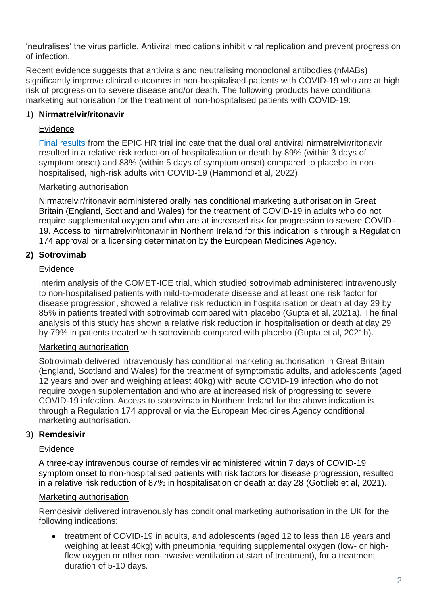'neutralises' the virus particle. Antiviral medications inhibit viral replication and prevent progression of infection.

Recent evidence suggests that antivirals and neutralising monoclonal antibodies (nMABs) significantly improve clinical outcomes in non-hospitalised patients with COVID-19 who are at high risk of progression to severe disease and/or death. The following products have conditional marketing authorisation for the treatment of non-hospitalised patients with COVID-19:

# 1) **Nirmatrelvir/ritonavir**

#### Evidence

[Final results](https://www.nejm.org/doi/full/10.1056/NEJMoa2118542?query=featured_home) from the EPIC HR trial indicate that the dual oral antiviral nirmatrelvir/ritonavir resulted in a relative risk reduction of hospitalisation or death by 89% (within 3 days of symptom onset) and 88% (within 5 days of symptom onset) compared to placebo in nonhospitalised, high-risk adults with COVID-19 (Hammond et al, 2022).

#### Marketing authorisation

Nirmatrelvir/ritonavir administered orally has conditional marketing authorisation in Great Britain (England, Scotland and Wales) for the treatment of COVID-19 in adults who do not require supplemental oxygen and who are at increased risk for progression to severe COVID-19. Access to nirmatrelvir/ritonavir in Northern Ireland for this indication is through a Regulation 174 approval or a licensing determination by the European Medicines Agency.

# **2) Sotrovimab**

#### Evidence

Interim analysis of the COMET-ICE trial, which studied sotrovimab administered intravenously to non-hospitalised patients with mild-to-moderate disease and at least one risk factor for disease progression, showed a relative risk reduction in hospitalisation or death at day 29 by 85% in patients treated with sotrovimab compared with placebo (Gupta et al, 2021a). The final analysis of this study has shown a relative risk reduction in hospitalisation or death at day 29 by 79% in patients treated with sotrovimab compared with placebo (Gupta et al, 2021b).

#### Marketing authorisation

Sotrovimab delivered intravenously has conditional marketing authorisation in Great Britain (England, Scotland and Wales) for the treatment of symptomatic adults, and adolescents (aged 12 years and over and weighing at least 40kg) with acute COVID-19 infection who do not require oxygen supplementation and who are at increased risk of progressing to severe COVID-19 infection. Access to sotrovimab in Northern Ireland for the above indication is through a Regulation 174 approval or via the European Medicines Agency conditional marketing authorisation.

#### 3) **Remdesivir**

# Evidence

A three-day intravenous course of remdesivir administered within 7 days of COVID-19 symptom onset to non-hospitalised patients with risk factors for disease progression, resulted in a relative risk reduction of 87% in hospitalisation or death at day 28 (Gottlieb et al, 2021).

#### Marketing authorisation

Remdesivir delivered intravenously has conditional marketing authorisation in the UK for the following indications:

• treatment of COVID-19 in adults, and adolescents (aged 12 to less than 18 years and weighing at least 40kg) with pneumonia requiring supplemental oxygen (low- or highflow oxygen or other non-invasive ventilation at start of treatment), for a treatment duration of 5-10 days.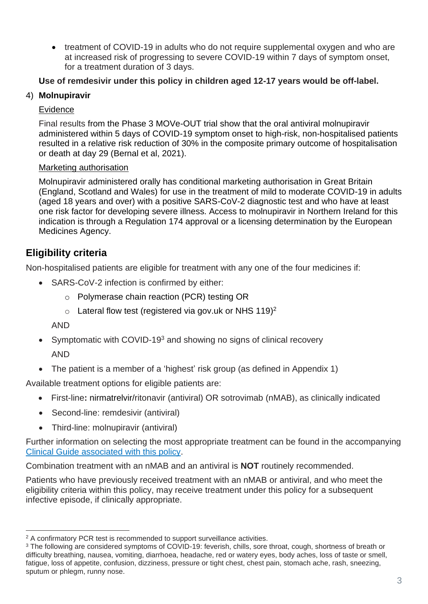• treatment of COVID-19 in adults who do not require supplemental oxygen and who are at increased risk of progressing to severe COVID-19 within 7 days of symptom onset, for a treatment duration of 3 days.

# **Use of remdesivir under this policy in children aged 12-17 years would be off-label.**

# 4) **Molnupiravir**

# Evidence

Final results from the Phase 3 MOVe-OUT trial show that the oral antiviral molnupiravir administered within 5 days of COVID-19 symptom onset to high-risk, non-hospitalised patients resulted in a relative risk reduction of 30% in the composite primary outcome of hospitalisation or death at day 29 (Bernal et al, 2021).

# Marketing authorisation

Molnupiravir administered orally has conditional marketing authorisation in Great Britain (England, Scotland and Wales) for use in the treatment of mild to moderate COVID-19 in adults (aged 18 years and over) with a positive SARS-CoV-2 diagnostic test and who have at least one risk factor for developing severe illness. Access to molnupiravir in Northern Ireland for this indication is through a Regulation 174 approval or a licensing determination by the European Medicines Agency.

# **Eligibility criteria**

Non-hospitalised patients are eligible for treatment with any one of the four medicines if:

- SARS-CoV-2 infection is confirmed by either:
	- o Polymerase chain reaction (PCR) testing OR
	- $\circ$  Lateral flow test (registered via gov.uk or NHS 119)<sup>2</sup>

AND

- Symptomatic with COVID-19<sup>3</sup> and showing no signs of clinical recovery AND
- The patient is a member of a 'highest' risk group (as defined in Appendix 1)

Available treatment options for eligible patients are:

- First-line**:** nirmatrelvir/ritonavir (antiviral) OR sotrovimab (nMAB), as clinically indicated
- Second-line: remdesivir (antiviral)
- Third-line: molnupiravir (antiviral)

Further information on selecting the most appropriate treatment can be found in the accompanying [Clinical Guide associated with this policy.](https://www.cas.mhra.gov.uk/ViewandAcknowledgment/ViewAlert.aspx?AlertID=103191)

Combination treatment with an nMAB and an antiviral is **NOT** routinely recommended.

Patients who have previously received treatment with an nMAB or antiviral, and who meet the eligibility criteria within this policy, may receive treatment under this policy for a subsequent infective episode, if clinically appropriate.

<sup>&</sup>lt;sup>2</sup> A confirmatory PCR test is recommended to support surveillance activities.

<sup>&</sup>lt;sup>3</sup> The following are considered symptoms of COVID-19: feverish, chills, sore throat, cough, shortness of breath or difficulty breathing, nausea, vomiting, diarrhoea, headache, red or watery eyes, body aches, loss of taste or smell, fatigue, loss of appetite, confusion, dizziness, pressure or tight chest, chest pain, stomach ache, rash, sneezing, sputum or phlegm, runny nose.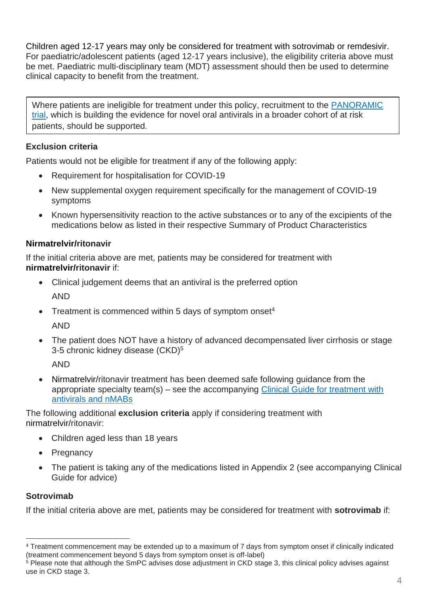Children aged 12-17 years may only be considered for treatment with sotrovimab or remdesivir. For paediatric/adolescent patients (aged 12-17 years inclusive), the eligibility criteria above must be met. Paediatric multi-disciplinary team (MDT) assessment should then be used to determine clinical capacity to benefit from the treatment.

Where patients are ineligible for treatment under this policy, recruitment to the PANORAMIC [trial,](https://www.panoramictrial.org/) which is building the evidence for novel oral antivirals in a broader cohort of at risk patients, should be supported.

# **Exclusion criteria**

Patients would not be eligible for treatment if any of the following apply:

- Requirement for hospitalisation for COVID-19
- New supplemental oxygen requirement specifically for the management of COVID-19 symptoms
- Known hypersensitivity reaction to the active substances or to any of the excipients of the medications below as listed in their respective Summary of Product Characteristics

#### **Nirmatrelvir/ritonavir**

If the initial criteria above are met, patients may be considered for treatment with **nirmatrelvir/ritonavir** if:

- Clinical judgement deems that an antiviral is the preferred option AND
- Treatment is commenced within 5 days of symptom onset<sup>4</sup> AND
- The patient does NOT have a history of advanced decompensated liver cirrhosis or stage 3-5 chronic kidney disease (CKD)<sup>5</sup>

AND

• Nirmatrelvir/ritonavir treatment has been deemed safe following guidance from the appropriate specialty team(s) – see the accompanying [Clinical Guide for treatment with](https://www.cas.mhra.gov.uk/ViewandAcknowledgment/ViewAlert.aspx?AlertID=103191)  [antivirals and nMABs](https://www.cas.mhra.gov.uk/ViewandAcknowledgment/ViewAlert.aspx?AlertID=103191)

The following additional **exclusion criteria** apply if considering treatment with nirmatrelvir/ritonavir:

- Children aged less than 18 years
- **Pregnancy**
- The patient is taking any of the medications listed in Appendix 2 (see accompanying Clinical Guide for advice)

#### **Sotrovimab**

If the initial criteria above are met, patients may be considered for treatment with **sotrovimab** if:

<sup>4</sup> Treatment commencement may be extended up to a maximum of 7 days from symptom onset if clinically indicated (treatment commencement beyond 5 days from symptom onset is off-label)

<sup>&</sup>lt;sup>5</sup> Please note that although the SmPC advises dose adjustment in CKD stage 3, this clinical policy advises against use in CKD stage 3.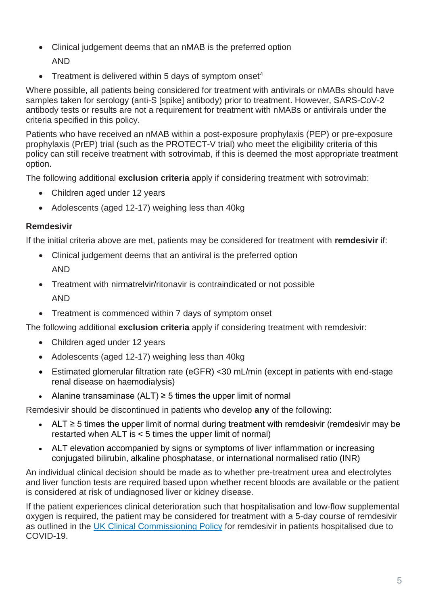- Clinical judgement deems that an nMAB is the preferred option
	- AND
- Treatment is delivered within 5 days of symptom onset<sup>4</sup>

Where possible, all patients being considered for treatment with antivirals or nMABs should have samples taken for serology (anti-S [spike] antibody) prior to treatment. However, SARS-CoV-2 antibody tests or results are not a requirement for treatment with nMABs or antivirals under the criteria specified in this policy.

Patients who have received an nMAB within a post-exposure prophylaxis (PEP) or pre-exposure prophylaxis (PrEP) trial (such as the PROTECT-V trial) who meet the eligibility criteria of this policy can still receive treatment with sotrovimab, if this is deemed the most appropriate treatment option.

The following additional **exclusion criteria** apply if considering treatment with sotrovimab:

- Children aged under 12 years
- Adolescents (aged 12-17) weighing less than 40kg

#### **Remdesivir**

If the initial criteria above are met, patients may be considered for treatment with **remdesivir** if:

- Clinical judgement deems that an antiviral is the preferred option AND
- Treatment with nirmatrelvir/ritonavir is contraindicated or not possible AND
- Treatment is commenced within 7 days of symptom onset

The following additional **exclusion criteria** apply if considering treatment with remdesivir:

- Children aged under 12 years
- Adolescents (aged 12-17) weighing less than 40kg
- Estimated glomerular filtration rate (eGFR) <30 mL/min (except in patients with end-stage renal disease on haemodialysis)
- Alanine transaminase  $(ALT) \geq 5$  times the upper limit of normal

Remdesivir should be discontinued in patients who develop **any** of the following:

- ALT ≥ 5 times the upper limit of normal during treatment with remdesivir (remdesivir may be restarted when ALT is < 5 times the upper limit of normal)
- ALT elevation accompanied by signs or symptoms of liver inflammation or increasing conjugated bilirubin, alkaline phosphatase, or international normalised ratio (INR)

An individual clinical decision should be made as to whether pre-treatment urea and electrolytes and liver function tests are required based upon whether recent bloods are available or the patient is considered at risk of undiagnosed liver or kidney disease.

If the patient experiences clinical deterioration such that hospitalisation and low-flow supplemental oxygen is required, the patient may be considered for treatment with a 5-day course of remdesivir as outlined in the [UK Clinical Commissioning Policy](https://www.cas.mhra.gov.uk/ViewandAcknowledgment/ViewAlert.aspx?AlertID=103197) for remdesivir in patients hospitalised due to COVID-19.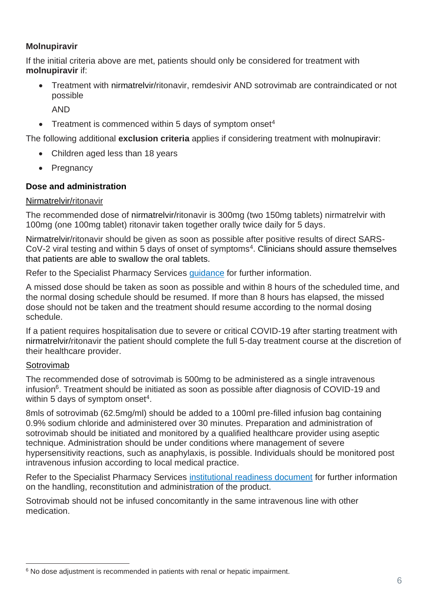## **Molnupiravir**

If the initial criteria above are met, patients should only be considered for treatment with **molnupiravir** if:

• Treatment with nirmatrelvir/ritonavir, remdesivir AND sotrovimab are contraindicated or not possible

AND

• Treatment is commenced within 5 days of symptom onset<sup>4</sup>

The following additional **exclusion criteria** applies if considering treatment with molnupiravir:

- Children aged less than 18 years
- Pregnancy

# **Dose and administration**

#### Nirmatrelvir/ritonavir

The recommended dose of nirmatrelvir/ritonavir is 300mg (two 150mg tablets) nirmatrelvir with 100mg (one 100mg tablet) ritonavir taken together orally twice daily for 5 days.

Nirmatrelvir/ritonavir should be given as soon as possible after positive results of direct SARS- $CoV-2$  viral testing and within 5 days of onset of symptoms<sup>4</sup>. Clinicians should assure themselves that patients are able to swallow the oral tablets.

Refer to the Specialist Pharmacy Services [guidance](https://www.sps.nhs.uk/home/guidance/covid-19-treatments/oral-antivirals/) for further information.

A missed dose should be taken as soon as possible and within 8 hours of the scheduled time, and the normal dosing schedule should be resumed. If more than 8 hours has elapsed, the missed dose should not be taken and the treatment should resume according to the normal dosing schedule.

If a patient requires hospitalisation due to severe or critical COVID-19 after starting treatment with nirmatrelvir/ritonavir the patient should complete the full 5-day treatment course at the discretion of their healthcare provider.

#### Sotrovimab

The recommended dose of sotrovimab is 500mg to be administered as a single intravenous infusion<sup>6</sup>. Treatment should be initiated as soon as possible after diagnosis of COVID-19 and within 5 days of symptom onset<sup>4</sup>.

8mls of sotrovimab (62.5mg/ml) should be added to a 100ml pre-filled infusion bag containing 0.9% sodium chloride and administered over 30 minutes. Preparation and administration of sotrovimab should be initiated and monitored by a qualified healthcare provider using aseptic technique. Administration should be under conditions where management of severe hypersensitivity reactions, such as anaphylaxis, is possible. Individuals should be monitored post intravenous infusion according to local medical practice.

Refer to the Specialist Pharmacy Services [institutional readiness document](https://www.sps.nhs.uk/home/guidance/covid-19-treatments/neutralising-monoclonal-antibodies/sotrovimab-xevudy/) for further information on the handling, reconstitution and administration of the product.

Sotrovimab should not be infused concomitantly in the same intravenous line with other medication.

<sup>&</sup>lt;sup>6</sup> No dose adjustment is recommended in patients with renal or hepatic impairment.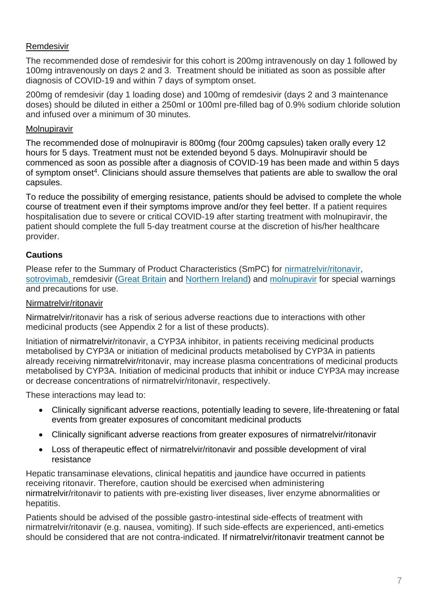## Remdesivir

The recommended dose of remdesivir for this cohort is 200mg intravenously on day 1 followed by 100mg intravenously on days 2 and 3. Treatment should be initiated as soon as possible after diagnosis of COVID-19 and within 7 days of symptom onset.

200mg of remdesivir (day 1 loading dose) and 100mg of remdesivir (days 2 and 3 maintenance doses) should be diluted in either a 250ml or 100ml pre-filled bag of 0.9% sodium chloride solution and infused over a minimum of 30 minutes.

#### Molnupiravir

The recommended dose of molnupiravir is 800mg (four 200mg capsules) taken orally every 12 hours for 5 days. Treatment must not be extended beyond 5 days. Molnupiravir should be commenced as soon as possible after a diagnosis of COVID-19 has been made and within 5 days of symptom onset<sup>4</sup>. Clinicians should assure themselves that patients are able to swallow the oral capsules.

To reduce the possibility of emerging resistance, patients should be advised to complete the whole course of treatment even if their symptoms improve and/or they feel better. If a patient requires hospitalisation due to severe or critical COVID-19 after starting treatment with molnupiravir, the patient should complete the full 5-day treatment course at the discretion of his/her healthcare provider.

# **Cautions**

Please refer to the Summary of Product Characteristics (SmPC) for [nirmatrelvir/ritonavir,](https://www.gov.uk/government/publications/regulatory-approval-of-paxlovid/summary-of-product-characteristics-for-paxlovid) [sotrovimab,](https://www.gov.uk/government/publications/regulatory-approval-of-xevudy-sotrovimab/summary-of-product-characteristics-for-xevudy) remdesivir [\(Great Britain](https://www.medicines.org.uk/emc/product/11597/smpc#gref) and [Northern Ireland\)](https://www.emcmedicines.com/en-gb/northernireland/medicine?id=e8165603-4ea0-4a1a-9359-b6de8eeb85f5&type=smpc) and [molnupiravir](https://www.medicines.org.uk/emc/product/13044/smpc#gref) for special warnings and precautions for use.

#### Nirmatrelvir/ritonavir

Nirmatrelvir/ritonavir has a risk of serious adverse reactions due to interactions with other medicinal products (see Appendix 2 for a list of these products).

Initiation of nirmatrelvir/ritonavir, a CYP3A inhibitor, in patients receiving medicinal products metabolised by CYP3A or initiation of medicinal products metabolised by CYP3A in patients already receiving nirmatrelvir/ritonavir, may increase plasma concentrations of medicinal products metabolised by CYP3A. Initiation of medicinal products that inhibit or induce CYP3A may increase or decrease concentrations of nirmatrelvir/ritonavir, respectively.

These interactions may lead to:

- Clinically significant adverse reactions, potentially leading to severe, life-threatening or fatal events from greater exposures of concomitant medicinal products
- Clinically significant adverse reactions from greater exposures of nirmatrelvir/ritonavir
- Loss of therapeutic effect of nirmatrelvir/ritonavir and possible development of viral resistance

Hepatic transaminase elevations, clinical hepatitis and jaundice have occurred in patients receiving ritonavir. Therefore, caution should be exercised when administering nirmatrelvir/ritonavir to patients with pre-existing liver diseases, liver enzyme abnormalities or hepatitis.

Patients should be advised of the possible gastro-intestinal side-effects of treatment with nirmatrelvir/ritonavir (e.g. nausea, vomiting). If such side-effects are experienced, anti-emetics should be considered that are not contra-indicated. If nirmatrelvir/ritonavir treatment cannot be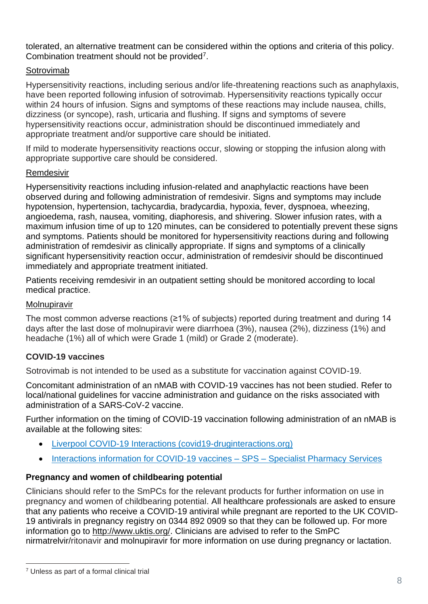tolerated, an alternative treatment can be considered within the options and criteria of this policy. Combination treatment should not be provided<sup>7</sup>.

## Sotrovimab

Hypersensitivity reactions, including serious and/or life-threatening reactions such as anaphylaxis, have been reported following infusion of sotrovimab. Hypersensitivity reactions typically occur within 24 hours of infusion. Signs and symptoms of these reactions may include nausea, chills, dizziness (or syncope), rash, urticaria and flushing. If signs and symptoms of severe hypersensitivity reactions occur, administration should be discontinued immediately and appropriate treatment and/or supportive care should be initiated.

If mild to moderate hypersensitivity reactions occur, slowing or stopping the infusion along with appropriate supportive care should be considered.

#### Remdesivir

Hypersensitivity reactions including infusion-related and anaphylactic reactions have been observed during and following administration of remdesivir. Signs and symptoms may include hypotension, hypertension, tachycardia, bradycardia, hypoxia, fever, dyspnoea, wheezing, angioedema, rash, nausea, vomiting, diaphoresis, and shivering. Slower infusion rates, with a maximum infusion time of up to 120 minutes, can be considered to potentially prevent these signs and symptoms. Patients should be monitored for hypersensitivity reactions during and following administration of remdesivir as clinically appropriate. If signs and symptoms of a clinically significant hypersensitivity reaction occur, administration of remdesivir should be discontinued immediately and appropriate treatment initiated.

Patients receiving remdesivir in an outpatient setting should be monitored according to local medical practice.

#### Molnupiravir

The most common adverse reactions (≥1% of subjects) reported during treatment and during 14 days after the last dose of molnupiravir were diarrhoea (3%), nausea (2%), dizziness (1%) and headache (1%) all of which were Grade 1 (mild) or Grade 2 (moderate).

# **COVID-19 vaccines**

Sotrovimab is not intended to be used as a substitute for vaccination against COVID-19.

Concomitant administration of an nMAB with COVID-19 vaccines has not been studied. Refer to local/national guidelines for vaccine administration and guidance on the risks associated with administration of a SARS-CoV-2 vaccine.

Further information on the timing of COVID-19 vaccination following administration of an nMAB is available at the following sites:

- [Liverpool COVID-19 Interactions \(covid19-druginteractions.org\)](https://www.covid19-druginteractions.org/checker)
- [Interactions information for COVID-19 vaccines –](https://www.sps.nhs.uk/articles/interactions-information-for-covid-19-vaccines/) SPS Specialist Pharmacy Services

# **Pregnancy and women of childbearing potential**

Clinicians should refer to the SmPCs for the relevant products for further information on use in pregnancy and women of childbearing potential. All healthcare professionals are asked to ensure that any patients who receive a COVID-19 antiviral while pregnant are reported to the UK COVID-19 antivirals in pregnancy registry on 0344 892 0909 so that they can be followed up. For more information go to [http://www.uktis.org/.](https://eur01.safelinks.protection.outlook.com/?url=http%3A%2F%2Fwww.uktis.org%2F&data=04%7C01%7CKatherine.Donegan%40mhra.gov.uk%7C9dc4684e290c4e4c287f08d9b1009898%7Ce527ea5c62584cd2a27f8bd237ec4c26%7C0%7C0%7C637735438389588066%7CUnknown%7CTWFpbGZsb3d8eyJWIjoiMC4wLjAwMDAiLCJQIjoiV2luMzIiLCJBTiI6Ik1haWwiLCJXVCI6Mn0%3D%7C3000&sdata=6vUtXmW0Wp2E%2Bjly0GI9Cs7NHa03uUHgdMcgrJMa54s%3D&reserved=0) Clinicians are advised to refer to the SmPC nirmatrelvir/ritonavir and molnupiravir for more information on use during pregnancy or lactation.

<sup>7</sup> Unless as part of a formal clinical trial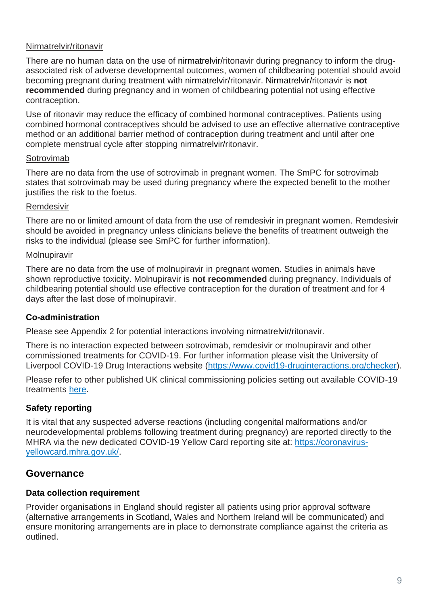#### Nirmatrelvir/ritonavir

There are no human data on the use of nirmatrelvir/ritonavir during pregnancy to inform the drugassociated risk of adverse developmental outcomes, women of childbearing potential should avoid becoming pregnant during treatment with nirmatrelvir/ritonavir. Nirmatrelvir/ritonavir is **not recommended** during pregnancy and in women of childbearing potential not using effective contraception.

Use of ritonavir may reduce the efficacy of combined hormonal contraceptives. Patients using combined hormonal contraceptives should be advised to use an effective alternative contraceptive method or an additional barrier method of contraception during treatment and until after one complete menstrual cycle after stopping nirmatrelvir/ritonavir.

#### Sotrovimab

There are no data from the use of sotrovimab in pregnant women. The SmPC for sotrovimab states that sotrovimab may be used during pregnancy where the expected benefit to the mother justifies the risk to the foetus.

#### Remdesivir

There are no or limited amount of data from the use of remdesivir in pregnant women. Remdesivir should be avoided in pregnancy unless clinicians believe the benefits of treatment outweigh the risks to the individual (please see SmPC for further information).

#### Molnupiravir

There are no data from the use of molnupiravir in pregnant women. Studies in animals have shown reproductive toxicity. Molnupiravir is **not recommended** during pregnancy. Individuals of childbearing potential should use effective contraception for the duration of treatment and for 4 days after the last dose of molnupiravir.

#### **Co-administration**

Please see Appendix 2 for potential interactions involving nirmatrelvir/ritonavir.

There is no interaction expected between sotrovimab, remdesivir or molnupiravir and other commissioned treatments for COVID-19. For further information please visit the University of Liverpool COVID-19 Drug Interactions website [\(https://www.covid19-druginteractions.org/checker\)](https://www.covid19-druginteractions.org/checker).

Please refer to other published UK clinical commissioning policies setting out available COVID-19 treatments [here.](https://www.cas.mhra.gov.uk/Help/CoronavirusAlerts.aspx)

# **Safety reporting**

It is vital that any suspected adverse reactions (including congenital malformations and/or neurodevelopmental problems following treatment during pregnancy) are reported directly to the MHRA via the new dedicated COVID-19 Yellow Card reporting site at: [https://coronavirus](https://coronavirus-yellowcard.mhra.gov.uk/)[yellowcard.mhra.gov.uk/.](https://coronavirus-yellowcard.mhra.gov.uk/)

# **Governance**

#### **Data collection requirement**

Provider organisations in England should register all patients using prior approval software (alternative arrangements in Scotland, Wales and Northern Ireland will be communicated) and ensure monitoring arrangements are in place to demonstrate compliance against the criteria as outlined.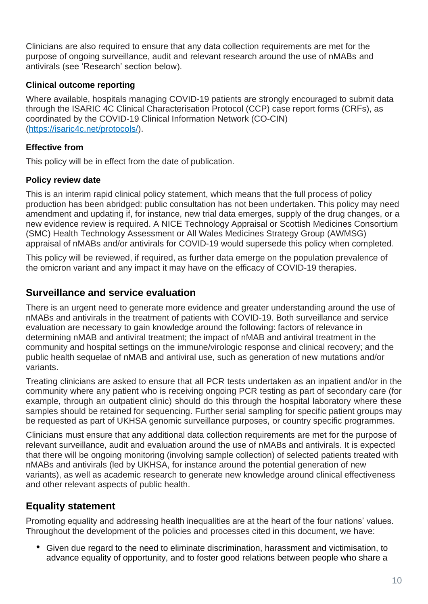Clinicians are also required to ensure that any data collection requirements are met for the purpose of ongoing surveillance, audit and relevant research around the use of nMABs and antivirals (see 'Research' section below).

#### **Clinical outcome reporting**

Where available, hospitals managing COVID-19 patients are strongly encouraged to submit data through the ISARIC 4C Clinical Characterisation Protocol (CCP) case report forms (CRFs), as coordinated by the COVID-19 Clinical Information Network (CO-CIN) [\(https://isaric4c.net/protocols/\)](https://isaric4c.net/protocols/).

## **Effective from**

This policy will be in effect from the date of publication.

#### **Policy review date**

This is an interim rapid clinical policy statement, which means that the full process of policy production has been abridged: public consultation has not been undertaken. This policy may need amendment and updating if, for instance, new trial data emerges, supply of the drug changes, or a new evidence review is required. A NICE Technology Appraisal or Scottish Medicines Consortium (SMC) Health Technology Assessment or All Wales Medicines Strategy Group (AWMSG) appraisal of nMABs and/or antivirals for COVID-19 would supersede this policy when completed.

This policy will be reviewed, if required, as further data emerge on the population prevalence of the omicron variant and any impact it may have on the efficacy of COVID-19 therapies.

# **Surveillance and service evaluation**

There is an urgent need to generate more evidence and greater understanding around the use of nMABs and antivirals in the treatment of patients with COVID-19. Both surveillance and service evaluation are necessary to gain knowledge around the following: factors of relevance in determining nMAB and antiviral treatment; the impact of nMAB and antiviral treatment in the community and hospital settings on the immune/virologic response and clinical recovery; and the public health sequelae of nMAB and antiviral use, such as generation of new mutations and/or variants.

Treating clinicians are asked to ensure that all PCR tests undertaken as an inpatient and/or in the community where any patient who is receiving ongoing PCR testing as part of secondary care (for example, through an outpatient clinic) should do this through the hospital laboratory where these samples should be retained for sequencing. Further serial sampling for specific patient groups may be requested as part of UKHSA genomic surveillance purposes, or country specific programmes.

Clinicians must ensure that any additional data collection requirements are met for the purpose of relevant surveillance, audit and evaluation around the use of nMABs and antivirals. It is expected that there will be ongoing monitoring (involving sample collection) of selected patients treated with nMABs and antivirals (led by UKHSA, for instance around the potential generation of new variants), as well as academic research to generate new knowledge around clinical effectiveness and other relevant aspects of public health.

# **Equality statement**

Promoting equality and addressing health inequalities are at the heart of the four nations' values. Throughout the development of the policies and processes cited in this document, we have:

• Given due regard to the need to eliminate discrimination, harassment and victimisation, to advance equality of opportunity, and to foster good relations between people who share a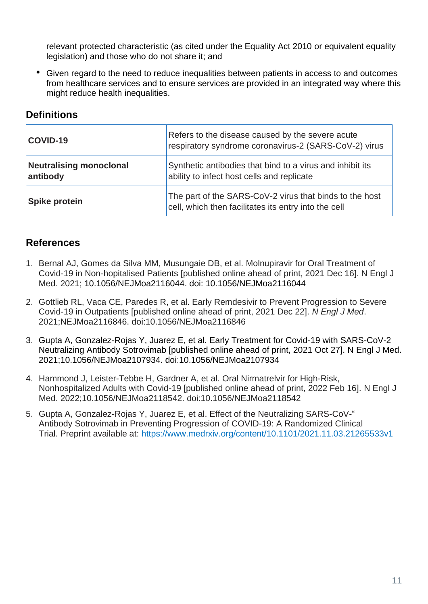relevant protected characteristic (as cited under the Equality Act 2010 or equivalent equality legislation) and those who do not share it; and

• Given regard to the need to reduce inequalities between patients in access to and outcomes from healthcare services and to ensure services are provided in an integrated way where this might reduce health inequalities.

# **Definitions**

| COVID-19                                   | Refers to the disease caused by the severe acute<br>respiratory syndrome coronavirus-2 (SARS-CoV-2) virus       |
|--------------------------------------------|-----------------------------------------------------------------------------------------------------------------|
| <b>Neutralising monoclonal</b><br>antibody | Synthetic antibodies that bind to a virus and inhibit its<br>ability to infect host cells and replicate         |
| <b>Spike protein</b>                       | The part of the SARS-CoV-2 virus that binds to the host<br>cell, which then facilitates its entry into the cell |

# **References**

- 1. Bernal AJ, Gomes da Silva MM, Musungaie DB, et al. Molnupiravir for Oral Treatment of Covid-19 in Non-hopitalised Patients [published online ahead of print, 2021 Dec 16]. N Engl J Med. 2021; 10.1056/NEJMoa2116044. doi: 10.1056/NEJMoa2116044
- 2. Gottlieb RL, Vaca CE, Paredes R, et al. Early Remdesivir to Prevent Progression to Severe Covid-19 in Outpatients [published online ahead of print, 2021 Dec 22]. *N Engl J Med*. 2021;NEJMoa2116846. doi:10.1056/NEJMoa2116846
- 3. Gupta A, Gonzalez-Rojas Y, Juarez E, et al. Early Treatment for Covid-19 with SARS-CoV-2 Neutralizing Antibody Sotrovimab [published online ahead of print, 2021 Oct 27]. N Engl J Med. 2021;10.1056/NEJMoa2107934. doi:10.1056/NEJMoa2107934
- 4. Hammond J, Leister-Tebbe H, Gardner A, et al. Oral Nirmatrelvir for High-Risk, Nonhospitalized Adults with Covid-19 [published online ahead of print, 2022 Feb 16]. N Engl J Med. 2022;10.1056/NEJMoa2118542. doi:10.1056/NEJMoa2118542
- 5. Gupta A, Gonzalez-Rojas Y, Juarez E, et al. Effect of the Neutralizing SARS-CoV-" Antibody Sotrovimab in Preventing Progression of COVID-19: A Randomized Clinical Trial. Preprint available at:<https://www.medrxiv.org/content/10.1101/2021.11.03.21265533v1>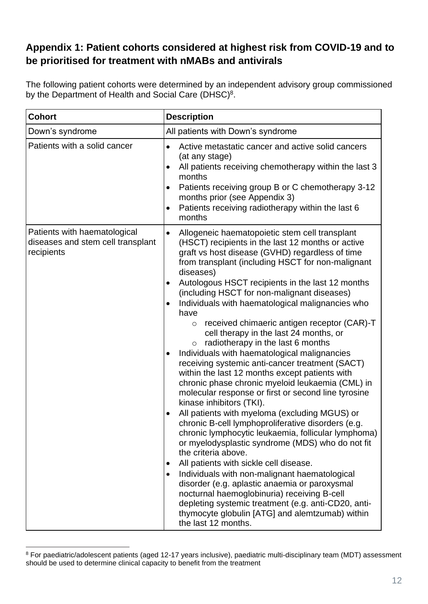# **Appendix 1: Patient cohorts considered at highest risk from COVID-19 and to be prioritised for treatment with nMABs and antivirals**

The following patient cohorts were determined by an independent advisory group commissioned by the Department of Health and Social Care (DHSC)<sup>8</sup>.

| <b>Cohort</b>                                                                   | <b>Description</b>                                                                                                                                                                                                                                                                                                                                                                                                                                                                                                                                                                                                                                                                                                                                                                                                                                                                                                                                                                                                                                                                                                                                                                                                                                                                                                                                                                                                                                                                         |  |
|---------------------------------------------------------------------------------|--------------------------------------------------------------------------------------------------------------------------------------------------------------------------------------------------------------------------------------------------------------------------------------------------------------------------------------------------------------------------------------------------------------------------------------------------------------------------------------------------------------------------------------------------------------------------------------------------------------------------------------------------------------------------------------------------------------------------------------------------------------------------------------------------------------------------------------------------------------------------------------------------------------------------------------------------------------------------------------------------------------------------------------------------------------------------------------------------------------------------------------------------------------------------------------------------------------------------------------------------------------------------------------------------------------------------------------------------------------------------------------------------------------------------------------------------------------------------------------------|--|
| Down's syndrome                                                                 | All patients with Down's syndrome                                                                                                                                                                                                                                                                                                                                                                                                                                                                                                                                                                                                                                                                                                                                                                                                                                                                                                                                                                                                                                                                                                                                                                                                                                                                                                                                                                                                                                                          |  |
| Patients with a solid cancer                                                    | Active metastatic cancer and active solid cancers<br>$\bullet$<br>(at any stage)<br>All patients receiving chemotherapy within the last 3<br>$\bullet$<br>months<br>Patients receiving group B or C chemotherapy 3-12<br>$\bullet$<br>months prior (see Appendix 3)<br>Patients receiving radiotherapy within the last 6<br>$\bullet$<br>months                                                                                                                                                                                                                                                                                                                                                                                                                                                                                                                                                                                                                                                                                                                                                                                                                                                                                                                                                                                                                                                                                                                                            |  |
| Patients with haematological<br>diseases and stem cell transplant<br>recipients | Allogeneic haematopoietic stem cell transplant<br>$\bullet$<br>(HSCT) recipients in the last 12 months or active<br>graft vs host disease (GVHD) regardless of time<br>from transplant (including HSCT for non-malignant<br>diseases)<br>Autologous HSCT recipients in the last 12 months<br>$\bullet$<br>(including HSCT for non-malignant diseases)<br>Individuals with haematological malignancies who<br>$\bullet$<br>have<br>received chimaeric antigen receptor (CAR)-T<br>$\circ$<br>cell therapy in the last 24 months, or<br>radiotherapy in the last 6 months<br>$\circ$<br>Individuals with haematological malignancies<br>$\bullet$<br>receiving systemic anti-cancer treatment (SACT)<br>within the last 12 months except patients with<br>chronic phase chronic myeloid leukaemia (CML) in<br>molecular response or first or second line tyrosine<br>kinase inhibitors (TKI).<br>All patients with myeloma (excluding MGUS) or<br>chronic B-cell lymphoproliferative disorders (e.g.<br>chronic lymphocytic leukaemia, follicular lymphoma)<br>or myelodysplastic syndrome (MDS) who do not fit<br>the criteria above.<br>All patients with sickle cell disease.<br>$\bullet$<br>Individuals with non-malignant haematological<br>$\bullet$<br>disorder (e.g. aplastic anaemia or paroxysmal<br>nocturnal haemoglobinuria) receiving B-cell<br>depleting systemic treatment (e.g. anti-CD20, anti-<br>thymocyte globulin [ATG] and alemtzumab) within<br>the last 12 months. |  |

<sup>8</sup> For paediatric/adolescent patients (aged 12-17 years inclusive), paediatric multi-disciplinary team (MDT) assessment should be used to determine clinical capacity to benefit from the treatment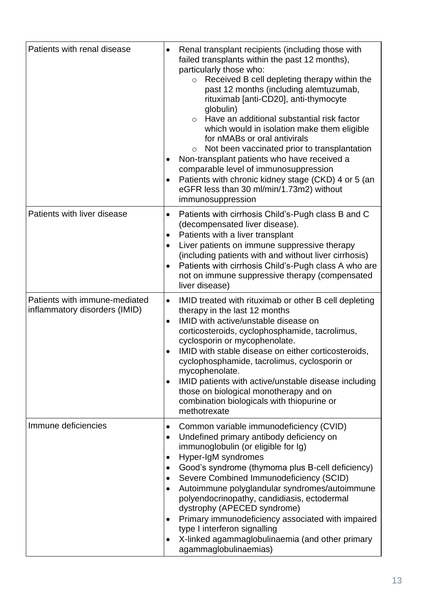| Patients with renal disease                                    | Renal transplant recipients (including those with<br>$\bullet$<br>failed transplants within the past 12 months),<br>particularly those who:<br>Received B cell depleting therapy within the<br>$\circ$<br>past 12 months (including alemtuzumab,<br>rituximab [anti-CD20], anti-thymocyte<br>globulin)<br>Have an additional substantial risk factor<br>$\circ$<br>which would in isolation make them eligible<br>for nMABs or oral antivirals<br>Not been vaccinated prior to transplantation<br>$\circ$<br>Non-transplant patients who have received a<br>$\bullet$<br>comparable level of immunosuppression<br>Patients with chronic kidney stage (CKD) 4 or 5 (an<br>$\bullet$<br>eGFR less than 30 ml/min/1.73m2) without<br>immunosuppression |
|----------------------------------------------------------------|-----------------------------------------------------------------------------------------------------------------------------------------------------------------------------------------------------------------------------------------------------------------------------------------------------------------------------------------------------------------------------------------------------------------------------------------------------------------------------------------------------------------------------------------------------------------------------------------------------------------------------------------------------------------------------------------------------------------------------------------------------|
| Patients with liver disease                                    | Patients with cirrhosis Child's-Pugh class B and C<br>$\bullet$<br>(decompensated liver disease).<br>Patients with a liver transplant<br>$\bullet$<br>Liver patients on immune suppressive therapy<br>$\bullet$<br>(including patients with and without liver cirrhosis)<br>Patients with cirrhosis Child's-Pugh class A who are<br>$\bullet$<br>not on immune suppressive therapy (compensated<br>liver disease)                                                                                                                                                                                                                                                                                                                                   |
| Patients with immune-mediated<br>inflammatory disorders (IMID) | IMID treated with rituximab or other B cell depleting<br>$\bullet$<br>therapy in the last 12 months<br>IMID with active/unstable disease on<br>$\bullet$<br>corticosteroids, cyclophosphamide, tacrolimus,<br>cyclosporin or mycophenolate.<br>IMID with stable disease on either corticosteroids,<br>cyclophosphamide, tacrolimus, cyclosporin or<br>mycophenolate.<br>IMID patients with active/unstable disease including<br>those on biological monotherapy and on<br>combination biologicals with thiopurine or<br>methotrexate                                                                                                                                                                                                                |
| Immune deficiencies                                            | Common variable immunodeficiency (CVID)<br>$\bullet$<br>Undefined primary antibody deficiency on<br>$\bullet$<br>immunoglobulin (or eligible for Ig)<br>Hyper-IgM syndromes<br>$\bullet$<br>Good's syndrome (thymoma plus B-cell deficiency)<br>$\bullet$<br>Severe Combined Immunodeficiency (SCID)<br>$\bullet$<br>Autoimmune polyglandular syndromes/autoimmune<br>$\bullet$<br>polyendocrinopathy, candidiasis, ectodermal<br>dystrophy (APECED syndrome)<br>Primary immunodeficiency associated with impaired<br>type I interferon signalling<br>X-linked agammaglobulinaemia (and other primary<br>$\bullet$<br>agammaglobulinaemias)                                                                                                         |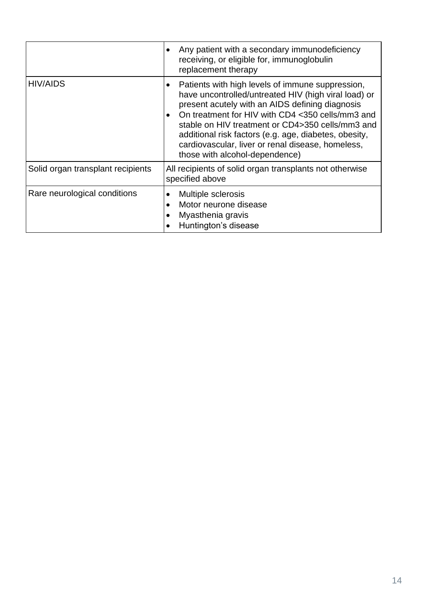|                                   | Any patient with a secondary immunodeficiency<br>receiving, or eligible for, immunoglobulin<br>replacement therapy                                                                                                                                                                                                                                                                                                               |
|-----------------------------------|----------------------------------------------------------------------------------------------------------------------------------------------------------------------------------------------------------------------------------------------------------------------------------------------------------------------------------------------------------------------------------------------------------------------------------|
| <b>HIV/AIDS</b>                   | Patients with high levels of immune suppression,<br>have uncontrolled/untreated HIV (high viral load) or<br>present acutely with an AIDS defining diagnosis<br>On treatment for HIV with CD4 <350 cells/mm3 and<br>$\bullet$<br>stable on HIV treatment or CD4>350 cells/mm3 and<br>additional risk factors (e.g. age, diabetes, obesity,<br>cardiovascular, liver or renal disease, homeless,<br>those with alcohol-dependence) |
| Solid organ transplant recipients | All recipients of solid organ transplants not otherwise<br>specified above                                                                                                                                                                                                                                                                                                                                                       |
| Rare neurological conditions      | Multiple sclerosis<br>Motor neurone disease<br>$\bullet$<br>Myasthenia gravis<br>Huntington's disease                                                                                                                                                                                                                                                                                                                            |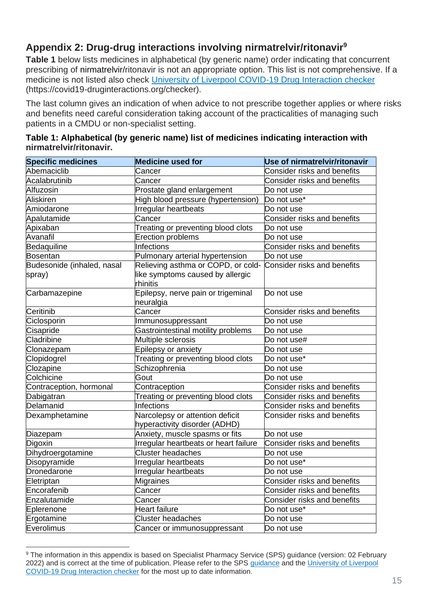# **Appendix 2: Drug-drug interactions involving nirmatrelvir/ritonavir<sup>9</sup>**

**Table 1** below lists medicines in alphabetical (by generic name) order indicating that concurrent prescribing of nirmatrelvir/ritonavir is not an appropriate option. This list is not comprehensive. If a medicine is not listed also check [University of Liverpool COVID-19 Drug Interaction checker](https://covid19-druginteractions.org/) (https://covid19-druginteractions.org/checker).

The last column gives an indication of when advice to not prescribe together applies or where risks and benefits need careful consideration taking account of the practicalities of managing such patients in a CMDU or non-specialist setting.

| <b>Specific medicines</b>            | <b>Medicine used for</b>                                                           | <b>Use of nirmatrelvir/ritonavir</b> |
|--------------------------------------|------------------------------------------------------------------------------------|--------------------------------------|
| Abemaciclib                          | Cancer                                                                             | <b>Consider risks and benefits</b>   |
| Acalabrutinib                        | Cancer                                                                             | <b>Consider risks and benefits</b>   |
| Alfuzosin                            | Prostate gland enlargement                                                         | Do not use                           |
| <b>Aliskiren</b>                     | High blood pressure (hypertension)                                                 | Do not use*                          |
| Amiodarone                           | Irregular heartbeats                                                               | Do not use                           |
| Apalutamide                          | Cancer                                                                             | <b>Consider risks and benefits</b>   |
| Apixaban                             | Treating or preventing blood clots                                                 | Do not use                           |
| Avanafil                             | <b>Erection problems</b>                                                           | Do not use                           |
| Bedaquiline                          | Infections                                                                         | <b>Consider risks and benefits</b>   |
| <b>Bosentan</b>                      | Pulmonary arterial hypertension                                                    | Do not use                           |
| Budesonide (inhaled, nasal<br>spray) | Relieving asthma or COPD, or cold-<br>like symptoms caused by allergic<br>rhinitis | Consider risks and benefits          |
| Carbamazepine                        | Epilepsy, nerve pain or trigeminal<br>neuralgia                                    | Do not use                           |
| Ceritinib                            | Cancer                                                                             | <b>Consider risks and benefits</b>   |
| Ciclosporin                          | Immunosuppressant                                                                  | Do not use                           |
| Cisapride                            | Gastrointestinal motility problems                                                 | Do not use                           |
| Cladribine                           | Multiple sclerosis                                                                 | Do not use#                          |
| Clonazepam                           | Epilepsy or anxiety                                                                | Do not use                           |
| Clopidogrel                          | Treating or preventing blood clots                                                 | Do not use*                          |
| Clozapine                            | Schizophrenia                                                                      | Do not use                           |
| Colchicine                           | Gout                                                                               | Do not use                           |
| Contraception, hormonal              | Contraception                                                                      | <b>Consider risks and benefits</b>   |
| Dabigatran                           | Treating or preventing blood clots                                                 | Consider risks and benefits          |
| Delamanid                            | <b>Infections</b>                                                                  | <b>Consider risks and benefits</b>   |
| Dexamphetamine                       | Narcolepsy or attention deficit<br>hyperactivity disorder (ADHD)                   | <b>Consider risks and benefits</b>   |
| Diazepam                             | Anxiety, muscle spasms or fits                                                     | Do not use                           |
| Digoxin                              | Irregular heartbeats or heart failure                                              | Consider risks and benefits          |
| Dihydroergotamine                    | <b>Cluster headaches</b>                                                           | Do not use                           |
| Disopyramide                         | Irregular heartbeats                                                               | Do not use*                          |
| Dronedarone                          | Irregular heartbeats                                                               | Do not use                           |
| Eletriptan                           | <b>Migraines</b>                                                                   | Consider risks and benefits          |
| Encorafenib                          | Cancer                                                                             | <b>Consider risks and benefits</b>   |
| Enzalutamide                         | Cancer                                                                             | <b>Consider risks and benefits</b>   |
| Eplerenone                           | Heart failure                                                                      | Do not use*                          |
| Ergotamine                           | <b>Cluster headaches</b>                                                           | Do not use                           |
| Everolimus                           | Cancer or immunosuppressant                                                        | Do not use                           |

| Table 1: Alphabetical (by generic name) list of medicines indicating interaction with |  |
|---------------------------------------------------------------------------------------|--|
| nirmatrelvir/ritonavir.                                                               |  |

<sup>9</sup> The information in this appendix is based on Specialist Pharmacy Service (SPS) guidance (version: 02 February 2022) and is correct at the time of publication. Please refer to the SPS [guidance](https://www.sps.nhs.uk/home/guidance/covid-19-treatments/oral-antivirals/) and the [University of Liverpool](https://covid19-druginteractions.org/)  [COVID-19 Drug Interaction checker](https://covid19-druginteractions.org/) for the most up to date information.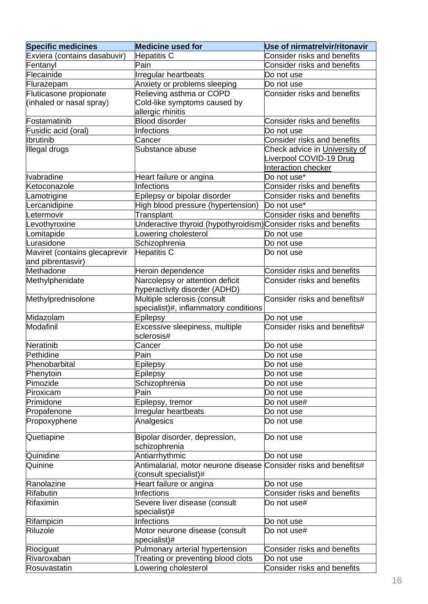| <b>Specific medicines</b>     | <b>Medicine used for</b>                                         | Use of nirmatrelvir/ritonavir      |
|-------------------------------|------------------------------------------------------------------|------------------------------------|
| Exviera (contains dasabuvir)  | Hepatitis C                                                      | <b>Consider risks and benefits</b> |
| Fentanyl                      | Pain                                                             | <b>Consider risks and benefits</b> |
| Flecainide                    | Irregular heartbeats                                             | Do not use                         |
| Flurazepam                    | Anxiety or problems sleeping                                     | Do not use                         |
| Fluticasone propionate        | Relieving asthma or COPD                                         | Consider risks and benefits        |
| (inhaled or nasal spray)      | Cold-like symptoms caused by                                     |                                    |
|                               | allergic rhinitis                                                |                                    |
| Fostamatinib                  | <b>Blood disorder</b>                                            | <b>Consider risks and benefits</b> |
| Fusidic acid (oral)           | Infections                                                       | Do not use                         |
| <b>Ibrutinib</b>              | Cancer                                                           | <b>Consider risks and benefits</b> |
| Illegal drugs                 | Substance abuse                                                  | Check advice in University of      |
|                               |                                                                  | Liverpool COVID-19 Drug            |
|                               |                                                                  | Interaction checker                |
| <b>Ivabradine</b>             | Heart failure or angina                                          | Do not use*                        |
| Ketoconazole                  | Infections                                                       | Consider risks and benefits        |
| .amotrigine                   | Epilepsy or bipolar disorder                                     | Consider risks and benefits        |
| ercanidipine.                 | High blood pressure (hypertension)                               | Do not use*                        |
| Letermovir                    | Transplant                                                       | Consider risks and benefits        |
| evothyroxine                  | Underactive thyroid (hypothyroidism) Consider risks and benefits |                                    |
| Lomitapide                    | Lowering cholesterol                                             | Do not use                         |
| Lurasidone                    | Schizophrenia                                                    | Do not use                         |
| Maviret (contains glecaprevir | <b>Hepatitis C</b>                                               | Do not use                         |
| and pibrentasvir)             |                                                                  |                                    |
| Methadone                     | Heroin dependence                                                | Consider risks and benefits        |
| Methylphenidate               | Narcolepsy or attention deficit                                  | <b>Consider risks and benefits</b> |
|                               | hyperactivity disorder (ADHD)                                    |                                    |
| Methylprednisolone            | Multiple sclerosis (consult                                      | Consider risks and benefits#       |
|                               | specialist)#, inflammatory conditions                            |                                    |
| Midazolam                     | Epilepsy                                                         | lDo not use                        |
| Modafinil                     | Excessive sleepiness, multiple                                   | Consider risks and benefits#       |
|                               | sclerosis#                                                       |                                    |
| Neratinib                     | Cancer                                                           | Do not use                         |
| Pethidine                     | Pain                                                             | Do not use                         |
| Phenobarbital                 | Epilepsy                                                         | Do not use                         |
| Phenytoin                     | Epilepsy                                                         | Do not use                         |
| Pimozide                      | Schizophrenia                                                    | Do not use                         |
| Piroxicam                     | Pain                                                             | Do not use                         |
| Primidone                     | Epilepsy, tremor                                                 | Do not use#                        |
| Propafenone                   | Irregular heartbeats                                             | Do not use                         |
| Propoxyphene                  | Analgesics                                                       | Do not use                         |
|                               |                                                                  |                                    |
| Quetiapine                    | Bipolar disorder, depression,                                    | Do not use                         |
|                               | schizophrenia                                                    |                                    |
| Quinidine                     | Antiarrhythmic                                                   | Do not use                         |
| Quinine                       | Antimalarial, motor neurone disease                              | Consider risks and benefits#       |
|                               | consult specialist)#                                             |                                    |
| Ranolazine                    | Heart failure or angina                                          | Do not use                         |
| <b>Rifabutin</b>              | <b>Infections</b>                                                | <b>Consider risks and benefits</b> |
| Rifaximin                     | Severe liver disease (consult                                    | Do not use#                        |
|                               | specialist)#                                                     |                                    |
| Rifampicin                    | Infections                                                       | Do not use                         |
| Riluzole                      | Motor neurone disease (consult                                   | Do not use#                        |
|                               | specialist)#                                                     |                                    |
| Riociguat                     | Pulmonary arterial hypertension                                  | Consider risks and benefits        |
| Rivaroxaban                   | Treating or preventing blood clots                               | Do not use                         |
| Rosuvastatin                  | Lowering cholesterol                                             | Consider risks and benefits        |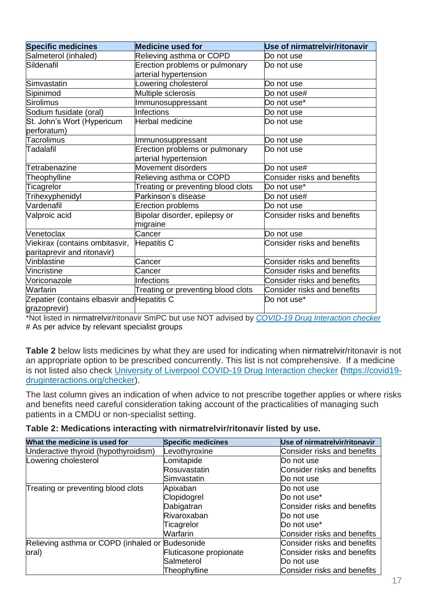| <b>Specific medicines</b>                   | <b>Medicine used for</b>           | Use of nirmatrelvir/ritonavir      |
|---------------------------------------------|------------------------------------|------------------------------------|
| Salmeterol (inhaled)                        | Relieving asthma or COPD           | Do not use                         |
| Sildenafil                                  | Erection problems or pulmonary     | Do not use                         |
|                                             | arterial hypertension              |                                    |
| Simvastatin                                 | _owering cholesterol               | Do not use                         |
| Sipinimod                                   | Multiple sclerosis                 | Do not use#                        |
| Sirolimus                                   | Immunosuppressant                  | Do not use*                        |
| Sodium fusidate (oral)                      | Infections                         | Do not use                         |
| St. John's Wort (Hypericum                  | Herbal medicine                    | Do not use                         |
| perforatum)                                 |                                    |                                    |
| Tacrolimus                                  | Immunosuppressant                  | Do not use                         |
| Tadalafil                                   | Erection problems or pulmonary     | lDo not use                        |
|                                             | arterial hypertension              |                                    |
| Tetrabenazine                               | Movement disorders                 | Do not use#                        |
| Theophylline                                | Relieving asthma or COPD           | <b>Consider risks and benefits</b> |
| Ticagrelor                                  | Treating or preventing blood clots | Do not use*                        |
| Trihexyphenidyl                             | Parkinson's disease                | Do not use#                        |
| Vardenafil                                  | Erection problems                  | Do not use                         |
| Valproic acid                               | Bipolar disorder, epilepsy or      | <b>Consider risks and benefits</b> |
|                                             | migraine                           |                                    |
| Venetoclax                                  | Cancer                             | Do not use                         |
| Viekirax (contains ombitasvir,              | Hepatitis C                        | <b>Consider risks and benefits</b> |
| paritaprevir and ritonavir)                 |                                    |                                    |
| Vinblastine                                 | Cancer                             | <b>Consider risks and benefits</b> |
| Vincristine                                 | Cancer                             | <b>Consider risks and benefits</b> |
| Voriconazole                                | <b>Infections</b>                  | <b>Consider risks and benefits</b> |
| <b>Warfarin</b>                             | Treating or preventing blood clots | Consider risks and benefits        |
| Zepatier (contains elbasvir and Hepatitis C |                                    | Do not use*                        |
| grazoprevir)                                |                                    |                                    |

\*Not listed in nirmatrelvir/ritonavir SmPC but use NOT advised by *[COVID-19 Drug Interaction checker](https://covid19-druginteractions.org/)* # As per advice by relevant specialist groups

**Table 2** below lists medicines by what they are used for indicating when nirmatrelvir/ritonavir is not an appropriate option to be prescribed concurrently. This list is not comprehensive. If a medicine is not listed also check [University of Liverpool COVID-19 Drug Interaction checker](https://covid19-druginteractions.org/) [\(https://covid19](https://covid19-druginteractions.org/checker) [druginteractions.org/checker\)](https://covid19-druginteractions.org/checker).

The last column gives an indication of when advice to not prescribe together applies or where risks and benefits need careful consideration taking account of the practicalities of managing such patients in a CMDU or non-specialist setting.

|  |  | Table 2: Medications interacting with nirmatrelvir/ritonavir listed by use. |  |  |
|--|--|-----------------------------------------------------------------------------|--|--|
|--|--|-----------------------------------------------------------------------------|--|--|

| What the medicine is used for                   | <b>Specific medicines</b> | Use of nirmatrelvir/ritonavir |
|-------------------------------------------------|---------------------------|-------------------------------|
| Underactive thyroid (hypothyroidism)            | Levothyroxine             | Consider risks and benefits   |
| Lowering cholesterol                            | Lomitapide                | lDo not use                   |
|                                                 | Rosuvastatin              | Consider risks and benefits   |
|                                                 | Simvastatin               | Do not use                    |
| Treating or preventing blood clots              | Apixaban                  | Do not use                    |
|                                                 | Clopidogrel               | Do not use <sup>*</sup>       |
|                                                 | Dabigatran                | Consider risks and benefits   |
|                                                 | Rivaroxaban               | Do not use                    |
|                                                 | Ticagrelor                | Do not use <sup>*</sup>       |
|                                                 | Warfarin                  | Consider risks and benefits   |
| Relieving asthma or COPD (inhaled or Budesonide |                           | Consider risks and benefits   |
| oral)                                           | Fluticasone propionate    | Consider risks and benefits   |
|                                                 | Salmeterol                | Do not use                    |
|                                                 | Theophylline              | Consider risks and benefits   |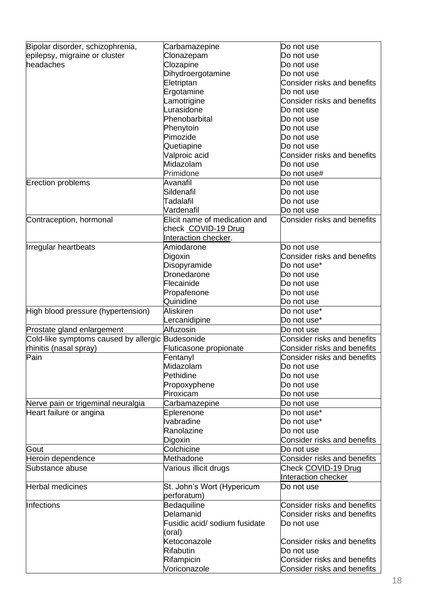| Bipolar disorder, schizophrenia,                 | Carbamazepine                 | Do not use                         |
|--------------------------------------------------|-------------------------------|------------------------------------|
| epilepsy, migraine or cluster                    | Clonazepam                    | Do not use                         |
| headaches                                        | Clozapine                     | Do not use                         |
|                                                  | Dihydroergotamine             | Do not use                         |
|                                                  | Eletriptan                    | <b>Consider risks and benefits</b> |
|                                                  |                               | Do not use                         |
|                                                  | Ergotamine                    |                                    |
|                                                  | Lamotrigine                   | Consider risks and benefits        |
|                                                  | Lurasidone                    | Do not use                         |
|                                                  | Phenobarbital                 | Do not use                         |
|                                                  | Phenytoin                     | Do not use                         |
|                                                  | Pimozide                      | Do not use                         |
|                                                  | Quetiapine                    | Do not use                         |
|                                                  | Valproic acid                 | <b>Consider risks and benefits</b> |
|                                                  | Midazolam                     | Do not use                         |
|                                                  | Primidone                     | Do not use#                        |
| <b>Erection problems</b>                         | Avanafil                      | Do not use                         |
|                                                  | Sildenafil                    | Do not use                         |
|                                                  | Tadalafil                     | Do not use                         |
|                                                  | Vardenafil                    | Do not use                         |
| Contraception, hormonal                          | Elicit name of medication and | Consider risks and benefits        |
|                                                  | check COVID-19 Drug           |                                    |
|                                                  |                               |                                    |
|                                                  | Interaction checker.          |                                    |
| <b>Irregular heartbeats</b>                      | Amiodarone                    | Do not use                         |
|                                                  | Digoxin                       | Consider risks and benefits        |
|                                                  | Disopyramide                  | Do not use*                        |
|                                                  | Dronedarone                   | Do not use                         |
|                                                  | Flecainide                    | Do not use                         |
|                                                  | Propafenone                   | Do not use                         |
|                                                  | Quinidine                     | Do not use                         |
| High blood pressure (hypertension)               | <b>Aliskiren</b>              | Do not use*                        |
|                                                  | Lercanidipine                 | Do not use*                        |
| Prostate gland enlargement                       | Alfuzosin                     | Do not use                         |
| Cold-like symptoms caused by allergic Budesonide |                               | Consider risks and benefits        |
| rhinitis (nasal spray)                           | Fluticasone propionate        | Consider risks and benefits        |
| Pain                                             | Fentanyl                      | Consider risks and benefits        |
|                                                  | Midazolam                     | Do not use                         |
|                                                  | Pethidine                     |                                    |
|                                                  |                               | Do not use                         |
|                                                  | Propoxyphene                  | Do not use                         |
|                                                  | Piroxicam                     | Do not use                         |
| Nerve pain or trigeminal neuralgia               | Carbamazepine                 | Do not use                         |
| Heart failure or angina                          | Eplerenone                    | Do not use*                        |
|                                                  | <b>Ivabradine</b>             | Do not use*                        |
|                                                  | Ranolazine                    | Do not use                         |
|                                                  | Digoxin                       | Consider risks and benefits        |
| Gout                                             | Colchicine                    | Do not use                         |
| Heroin dependence                                | Methadone                     | <b>Consider risks and benefits</b> |
| Substance abuse                                  | Various illicit drugs         | Check COVID-19 Drug                |
|                                                  |                               | Interaction checker                |
| Herbal medicines                                 | St. John's Wort (Hypericum    | Do not use                         |
|                                                  |                               |                                    |
|                                                  | perforatum)                   |                                    |
| Infections                                       | Bedaquiline                   | Consider risks and benefits        |
|                                                  | Delamanid                     | Consider risks and benefits        |
|                                                  | Fusidic acid/ sodium fusidate | Do not use                         |
|                                                  | (oral)                        |                                    |
|                                                  | Ketoconazole                  | Consider risks and benefits        |
|                                                  | <b>Rifabutin</b>              | Do not use                         |
|                                                  | Rifampicin                    | <b>Consider risks and benefits</b> |
|                                                  | Voriconazole                  | Consider risks and benefits        |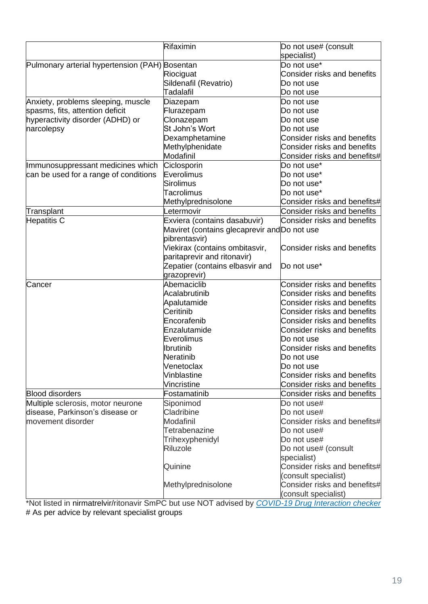|                                                | Rifaximin                                    | Do not use# (consult                                 |
|------------------------------------------------|----------------------------------------------|------------------------------------------------------|
|                                                |                                              | specialist)                                          |
| Pulmonary arterial hypertension (PAH) Bosentan |                                              | Do not use*                                          |
|                                                | Riociguat                                    | Consider risks and benefits                          |
|                                                | Sildenafil (Revatrio)                        | Do not use                                           |
|                                                | Tadalafil                                    | Do not use                                           |
| Anxiety, problems sleeping, muscle             | Diazepam                                     | Do not use                                           |
| spasms, fits, attention deficit                | Flurazepam                                   | Do not use                                           |
| hyperactivity disorder (ADHD) or               | Clonazepam                                   | Do not use                                           |
| narcolepsy                                     | St John's Wort                               | Do not use                                           |
|                                                | Dexamphetamine                               | Consider risks and benefits                          |
|                                                | Methylphenidate                              | Consider risks and benefits                          |
|                                                | Modafinil                                    | Consider risks and benefits#                         |
| Immunosuppressant medicines which              | Ciclosporin                                  | Do not use*                                          |
| can be used for a range of conditions          | Everolimus                                   | Do not use*                                          |
|                                                | Sirolimus                                    | Do not use*                                          |
|                                                | Tacrolimus                                   | Do not use*                                          |
|                                                | Methylprednisolone                           | Consider risks and benefits#                         |
| Transplant                                     | Letermovir                                   | Consider risks and benefits                          |
| Hepatitis C                                    | Exviera (contains dasabuvir)                 | Consider risks and benefits                          |
|                                                | Maviret (contains glecaprevir and Do not use |                                                      |
|                                                | pibrentasvir)                                |                                                      |
|                                                | Viekirax (contains ombitasvir,               | Consider risks and benefits                          |
|                                                | paritaprevir and ritonavir)                  |                                                      |
|                                                | Zepatier (contains elbasvir and              | Do not use*                                          |
|                                                | grazoprevir)                                 |                                                      |
| Cancer                                         | Abemaciclib                                  | Consider risks and benefits                          |
|                                                | Acalabrutinib                                | <b>Consider risks and benefits</b>                   |
|                                                | Apalutamide                                  | <b>Consider risks and benefits</b>                   |
|                                                | Ceritinib                                    | Consider risks and benefits                          |
|                                                | Encorafenib                                  | Consider risks and benefits                          |
|                                                | Enzalutamide                                 | <b>Consider risks and benefits</b>                   |
|                                                | Everolimus                                   | Do not use                                           |
|                                                | <b>Ibrutinib</b>                             | <b>Consider risks and benefits</b>                   |
|                                                | Neratinib                                    | Do not use                                           |
|                                                | Venetoclax                                   | Do not use                                           |
|                                                | Vinblastine                                  | Consider risks and benefits                          |
|                                                | Vincristine                                  | Consider risks and benefits                          |
| <b>Blood disorders</b>                         | Fostamatinib                                 | Consider risks and benefits                          |
| Multiple sclerosis, motor neurone              | Siponimod                                    | Do not use#                                          |
| disease, Parkinson's disease or                | Cladribine                                   | Do not use#                                          |
| movement disorder                              | Modafinil                                    | Consider risks and benefits#                         |
|                                                | Tetrabenazine                                | Do not use#                                          |
|                                                | Trihexyphenidyl                              | Do not use#                                          |
|                                                | <b>Riluzole</b>                              | Do not use# (consult                                 |
|                                                |                                              | specialist)                                          |
|                                                | Quinine                                      | Consider risks and benefits#                         |
|                                                |                                              | (consult specialist)                                 |
|                                                | Methylprednisolone                           | Consider risks and benefits#<br>(consult specialist) |

\*Not listed in nirmatrelvir/ritonavir SmPC but use NOT advised by *[COVID-19 Drug Interaction checker](https://covid19-druginteractions.org/)* # As per advice by relevant specialist groups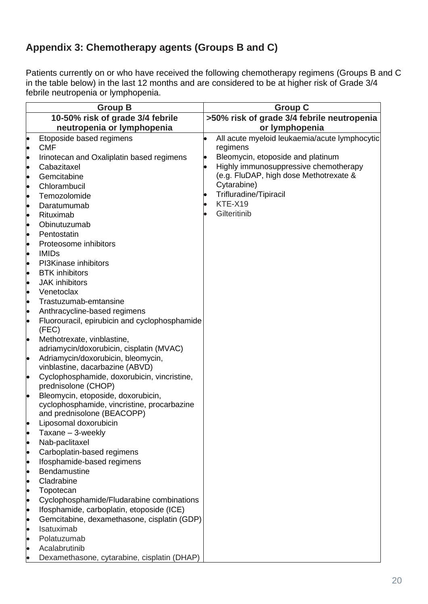# **Appendix 3: Chemotherapy agents (Groups B and C)**

Patients currently on or who have received the following chemotherapy regimens (Groups B and C in the table below) in the last 12 months and are considered to be at higher risk of Grade 3/4 febrile neutropenia or lymphopenia.

|                | <b>Group B</b>                                                                           | <b>Group C</b>                                |
|----------------|------------------------------------------------------------------------------------------|-----------------------------------------------|
|                | 10-50% risk of grade 3/4 febrile                                                         | >50% risk of grade 3/4 febrile neutropenia    |
|                | neutropenia or lymphopenia                                                               | or lymphopenia                                |
|                | Etoposide based regimens                                                                 | All acute myeloid leukaemia/acute lymphocytic |
| $\bullet$      | <b>CMF</b>                                                                               | regimens                                      |
| þ              | Irinotecan and Oxaliplatin based regimens                                                | Bleomycin, etoposide and platinum             |
| þ              | Cabazitaxel                                                                              | Highly immunosuppressive chemotherapy         |
| l.             | Gemcitabine                                                                              | (e.g. FluDAP, high dose Methotrexate &        |
| þ              | Chlorambucil                                                                             | Cytarabine)                                   |
| þ              | Temozolomide                                                                             | Trifluradine/Tipiracil                        |
| þ              | Daratumumab                                                                              | KTE-X19                                       |
| þ              | Rituximab                                                                                | Gilteritinib                                  |
| $\bullet$      | Obinutuzumab                                                                             |                                               |
| $\bullet$      | Pentostatin                                                                              |                                               |
| þ              | Proteosome inhibitors                                                                    |                                               |
| þ              | <b>IMIDs</b>                                                                             |                                               |
|                | PI3Kinase inhibitors                                                                     |                                               |
| þ              | <b>BTK</b> inhibitors                                                                    |                                               |
| þ              | <b>JAK</b> inhibitors                                                                    |                                               |
| lo             | Venetoclax                                                                               |                                               |
|                | Trastuzumab-emtansine                                                                    |                                               |
| þ              | Anthracycline-based regimens                                                             |                                               |
| $\bullet$      | Fluorouracil, epirubicin and cyclophosphamide                                            |                                               |
|                | (FEC)                                                                                    |                                               |
| þ              | Methotrexate, vinblastine,<br>adriamycin/doxorubicin, cisplatin (MVAC)                   |                                               |
| $\bullet$      | Adriamycin/doxorubicin, bleomycin,                                                       |                                               |
|                | vinblastine, dacarbazine (ABVD)                                                          |                                               |
| þ              | Cyclophosphamide, doxorubicin, vincristine,                                              |                                               |
|                | prednisolone (CHOP)                                                                      |                                               |
| le.            | Bleomycin, etoposide, doxorubicin,                                                       |                                               |
|                | cyclophosphamide, vincristine, procarbazine                                              |                                               |
|                | and prednisolone (BEACOPP)                                                               |                                               |
|                | Liposomal doxorubicin                                                                    |                                               |
| þ              | Taxane - 3-weekly                                                                        |                                               |
| þ              | Nab-paclitaxel                                                                           |                                               |
| $\bullet$      | Carboplatin-based regimens                                                               |                                               |
| $\bullet$      | Ifosphamide-based regimens                                                               |                                               |
| þ              | Bendamustine                                                                             |                                               |
| þ              | Cladrabine                                                                               |                                               |
| þ              | Topotecan                                                                                |                                               |
| $\bullet$      | Cyclophosphamide/Fludarabine combinations                                                |                                               |
| þ              | Ifosphamide, carboplatin, etoposide (ICE)<br>Gemcitabine, dexamethasone, cisplatin (GDP) |                                               |
| þ<br>$\bullet$ | Isatuximab                                                                               |                                               |
|                | Polatuzumab                                                                              |                                               |
|                | Acalabrutinib                                                                            |                                               |
|                | Dexamethasone, cytarabine, cisplatin (DHAP)                                              |                                               |